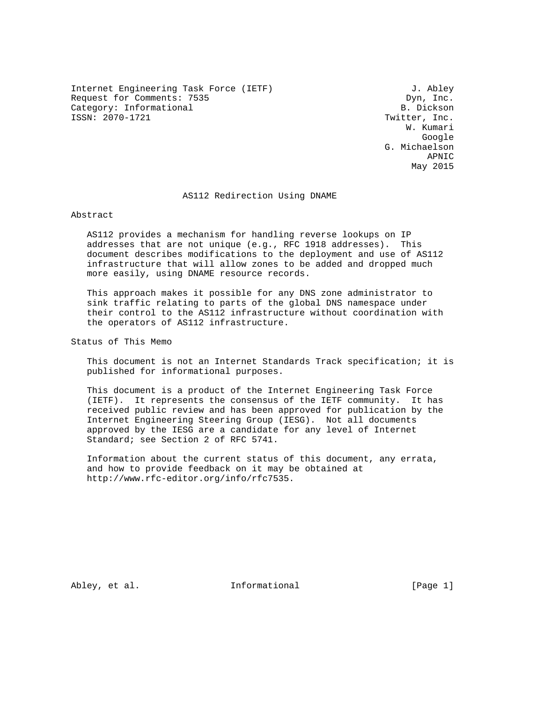Internet Engineering Task Force (IETF) 3. Abley Request for Comments: 7535 Dyn, Inc. Category: Informational B. Dickson

Twitter, Inc. W. Kumari google is a straightforward of the control of the control of the control of the control of the control of the c G. Michaelson APNIC May 2015

#### AS112 Redirection Using DNAME

Abstract

 AS112 provides a mechanism for handling reverse lookups on IP addresses that are not unique (e.g., RFC 1918 addresses). This document describes modifications to the deployment and use of AS112 infrastructure that will allow zones to be added and dropped much more easily, using DNAME resource records.

 This approach makes it possible for any DNS zone administrator to sink traffic relating to parts of the global DNS namespace under their control to the AS112 infrastructure without coordination with the operators of AS112 infrastructure.

Status of This Memo

 This document is not an Internet Standards Track specification; it is published for informational purposes.

 This document is a product of the Internet Engineering Task Force (IETF). It represents the consensus of the IETF community. It has received public review and has been approved for publication by the Internet Engineering Steering Group (IESG). Not all documents approved by the IESG are a candidate for any level of Internet Standard; see Section 2 of RFC 5741.

 Information about the current status of this document, any errata, and how to provide feedback on it may be obtained at http://www.rfc-editor.org/info/rfc7535.

Abley, et al. The Informational [Page 1]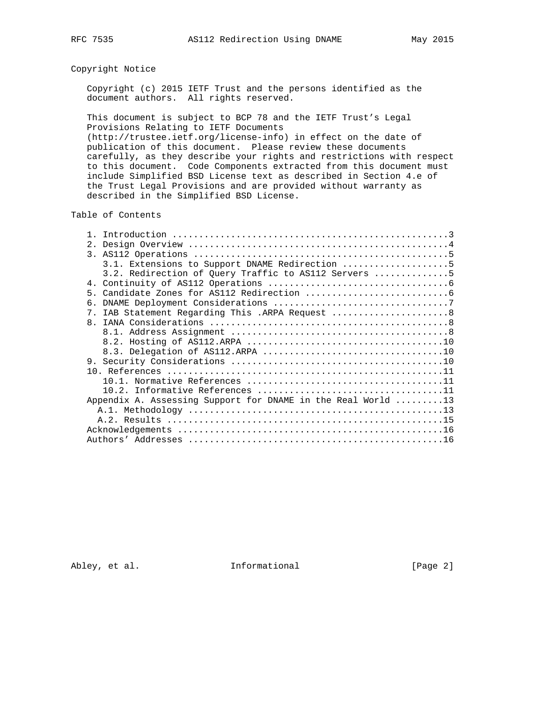## Copyright Notice

 Copyright (c) 2015 IETF Trust and the persons identified as the document authors. All rights reserved.

 This document is subject to BCP 78 and the IETF Trust's Legal Provisions Relating to IETF Documents (http://trustee.ietf.org/license-info) in effect on the date of publication of this document. Please review these documents carefully, as they describe your rights and restrictions with respect to this document. Code Components extracted from this document must include Simplified BSD License text as described in Section 4.e of the Trust Legal Provisions and are provided without warranty as

described in the Simplified BSD License.

Table of Contents

| 2.                                                              |
|-----------------------------------------------------------------|
|                                                                 |
| 3.1. Extensions to Support DNAME Redirection 5                  |
| 3.2. Redirection of Query Traffic to AS112 Servers 5            |
|                                                                 |
|                                                                 |
| б.                                                              |
| IAB Statement Regarding This .ARPA Request  8<br>7 <sub>1</sub> |
|                                                                 |
|                                                                 |
|                                                                 |
|                                                                 |
|                                                                 |
|                                                                 |
|                                                                 |
|                                                                 |
| Appendix A. Assessing Support for DNAME in the Real World 13    |
|                                                                 |
|                                                                 |
|                                                                 |
|                                                                 |
|                                                                 |

Abley, et al. 1nformational 1999 [Page 2]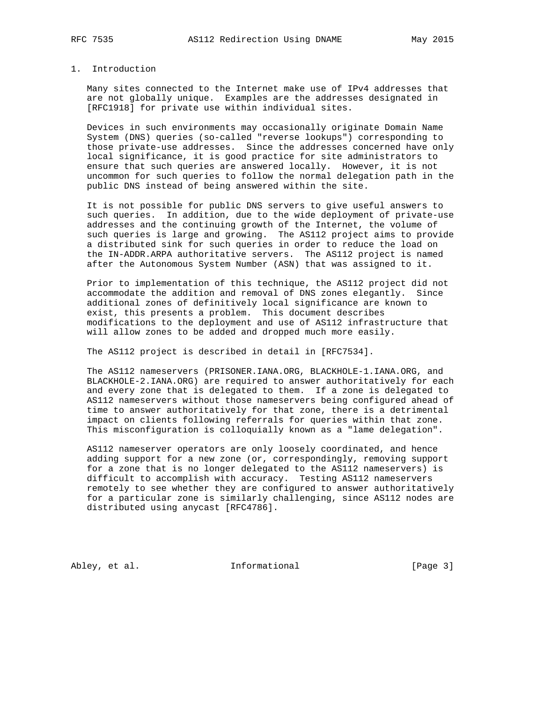## 1. Introduction

 Many sites connected to the Internet make use of IPv4 addresses that are not globally unique. Examples are the addresses designated in [RFC1918] for private use within individual sites.

 Devices in such environments may occasionally originate Domain Name System (DNS) queries (so-called "reverse lookups") corresponding to those private-use addresses. Since the addresses concerned have only local significance, it is good practice for site administrators to ensure that such queries are answered locally. However, it is not uncommon for such queries to follow the normal delegation path in the public DNS instead of being answered within the site.

 It is not possible for public DNS servers to give useful answers to such queries. In addition, due to the wide deployment of private-use addresses and the continuing growth of the Internet, the volume of such queries is large and growing. The AS112 project aims to provide a distributed sink for such queries in order to reduce the load on the IN-ADDR.ARPA authoritative servers. The AS112 project is named after the Autonomous System Number (ASN) that was assigned to it.

 Prior to implementation of this technique, the AS112 project did not accommodate the addition and removal of DNS zones elegantly. Since additional zones of definitively local significance are known to exist, this presents a problem. This document describes modifications to the deployment and use of AS112 infrastructure that will allow zones to be added and dropped much more easily.

The AS112 project is described in detail in [RFC7534].

 The AS112 nameservers (PRISONER.IANA.ORG, BLACKHOLE-1.IANA.ORG, and BLACKHOLE-2.IANA.ORG) are required to answer authoritatively for each and every zone that is delegated to them. If a zone is delegated to AS112 nameservers without those nameservers being configured ahead of time to answer authoritatively for that zone, there is a detrimental impact on clients following referrals for queries within that zone. This misconfiguration is colloquially known as a "lame delegation".

 AS112 nameserver operators are only loosely coordinated, and hence adding support for a new zone (or, correspondingly, removing support for a zone that is no longer delegated to the AS112 nameservers) is difficult to accomplish with accuracy. Testing AS112 nameservers remotely to see whether they are configured to answer authoritatively for a particular zone is similarly challenging, since AS112 nodes are distributed using anycast [RFC4786].

Abley, et al. 1nformational [Page 3]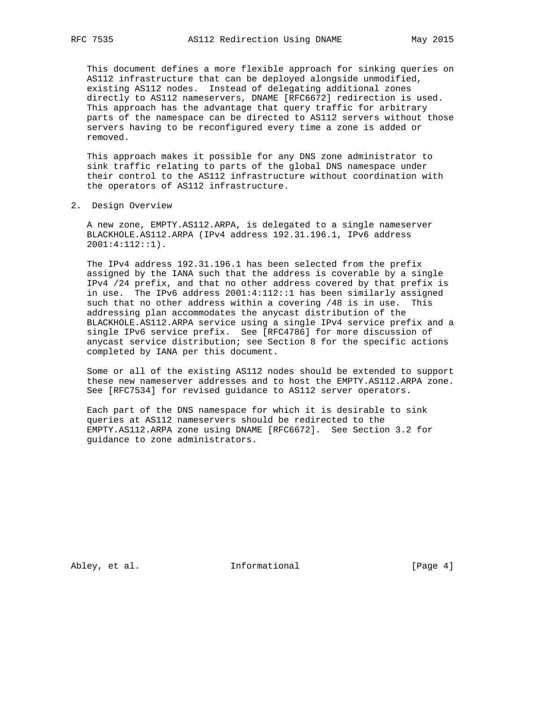This document defines a more flexible approach for sinking queries on AS112 infrastructure that can be deployed alongside unmodified, existing AS112 nodes. Instead of delegating additional zones directly to AS112 nameservers, DNAME [RFC6672] redirection is used. This approach has the advantage that query traffic for arbitrary parts of the namespace can be directed to AS112 servers without those servers having to be reconfigured every time a zone is added or removed.

 This approach makes it possible for any DNS zone administrator to sink traffic relating to parts of the global DNS namespace under their control to the AS112 infrastructure without coordination with the operators of AS112 infrastructure.

2. Design Overview

 A new zone, EMPTY.AS112.ARPA, is delegated to a single nameserver BLACKHOLE.AS112.ARPA (IPv4 address 192.31.196.1, IPv6 address 2001:4:112::1).

 The IPv4 address 192.31.196.1 has been selected from the prefix assigned by the IANA such that the address is coverable by a single IPv4 /24 prefix, and that no other address covered by that prefix is in use. The IPv6 address 2001:4:112::1 has been similarly assigned such that no other address within a covering /48 is in use. This addressing plan accommodates the anycast distribution of the BLACKHOLE.AS112.ARPA service using a single IPv4 service prefix and a single IPv6 service prefix. See [RFC4786] for more discussion of anycast service distribution; see Section 8 for the specific actions completed by IANA per this document.

 Some or all of the existing AS112 nodes should be extended to support these new nameserver addresses and to host the EMPTY.AS112.ARPA zone. See [RFC7534] for revised guidance to AS112 server operators.

 Each part of the DNS namespace for which it is desirable to sink queries at AS112 nameservers should be redirected to the EMPTY.AS112.ARPA zone using DNAME [RFC6672]. See Section 3.2 for guidance to zone administrators.

Abley, et al. 1nformational [Page 4]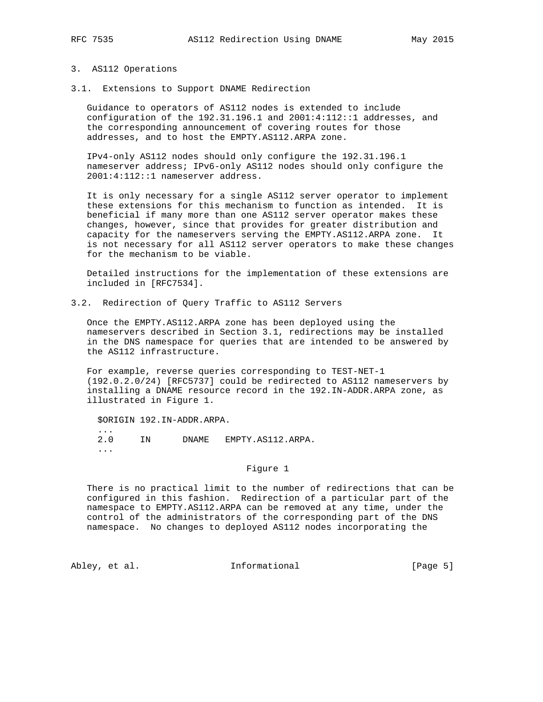#### 3. AS112 Operations

3.1. Extensions to Support DNAME Redirection

 Guidance to operators of AS112 nodes is extended to include configuration of the 192.31.196.1 and 2001:4:112::1 addresses, and the corresponding announcement of covering routes for those addresses, and to host the EMPTY.AS112.ARPA zone.

 IPv4-only AS112 nodes should only configure the 192.31.196.1 nameserver address; IPv6-only AS112 nodes should only configure the 2001:4:112::1 nameserver address.

 It is only necessary for a single AS112 server operator to implement these extensions for this mechanism to function as intended. It is beneficial if many more than one AS112 server operator makes these changes, however, since that provides for greater distribution and capacity for the nameservers serving the EMPTY.AS112.ARPA zone. It is not necessary for all AS112 server operators to make these changes for the mechanism to be viable.

 Detailed instructions for the implementation of these extensions are included in [RFC7534].

3.2. Redirection of Query Traffic to AS112 Servers

 Once the EMPTY.AS112.ARPA zone has been deployed using the nameservers described in Section 3.1, redirections may be installed in the DNS namespace for queries that are intended to be answered by the AS112 infrastructure.

 For example, reverse queries corresponding to TEST-NET-1 (192.0.2.0/24) [RFC5737] could be redirected to AS112 nameservers by installing a DNAME resource record in the 192.IN-ADDR.ARPA zone, as illustrated in Figure 1.

\$ORIGIN 192.IN-ADDR.ARPA.

 2.0 IN DNAME EMPTY.AS112.ARPA. ...

### Figure 1

 There is no practical limit to the number of redirections that can be configured in this fashion. Redirection of a particular part of the namespace to EMPTY.AS112.ARPA can be removed at any time, under the control of the administrators of the corresponding part of the DNS namespace. No changes to deployed AS112 nodes incorporating the

...

Abley, et al. 1nformational 1999 [Page 5]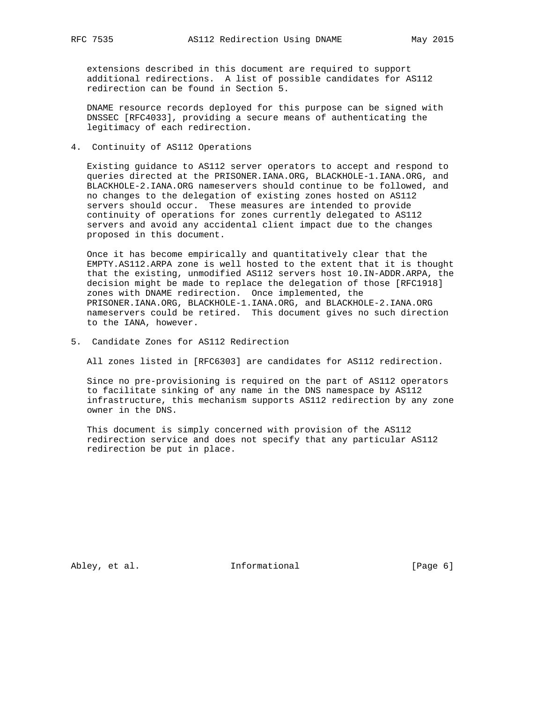extensions described in this document are required to support additional redirections. A list of possible candidates for AS112 redirection can be found in Section 5.

 DNAME resource records deployed for this purpose can be signed with DNSSEC [RFC4033], providing a secure means of authenticating the legitimacy of each redirection.

4. Continuity of AS112 Operations

 Existing guidance to AS112 server operators to accept and respond to queries directed at the PRISONER.IANA.ORG, BLACKHOLE-1.IANA.ORG, and BLACKHOLE-2.IANA.ORG nameservers should continue to be followed, and no changes to the delegation of existing zones hosted on AS112 servers should occur. These measures are intended to provide continuity of operations for zones currently delegated to AS112 servers and avoid any accidental client impact due to the changes proposed in this document.

 Once it has become empirically and quantitatively clear that the EMPTY.AS112.ARPA zone is well hosted to the extent that it is thought that the existing, unmodified AS112 servers host 10.IN-ADDR.ARPA, the decision might be made to replace the delegation of those [RFC1918] zones with DNAME redirection. Once implemented, the PRISONER.IANA.ORG, BLACKHOLE-1.IANA.ORG, and BLACKHOLE-2.IANA.ORG nameservers could be retired. This document gives no such direction to the IANA, however.

5. Candidate Zones for AS112 Redirection

All zones listed in [RFC6303] are candidates for AS112 redirection.

 Since no pre-provisioning is required on the part of AS112 operators to facilitate sinking of any name in the DNS namespace by AS112 infrastructure, this mechanism supports AS112 redirection by any zone owner in the DNS.

 This document is simply concerned with provision of the AS112 redirection service and does not specify that any particular AS112 redirection be put in place.

Abley, et al. 1nformational 1999 [Page 6]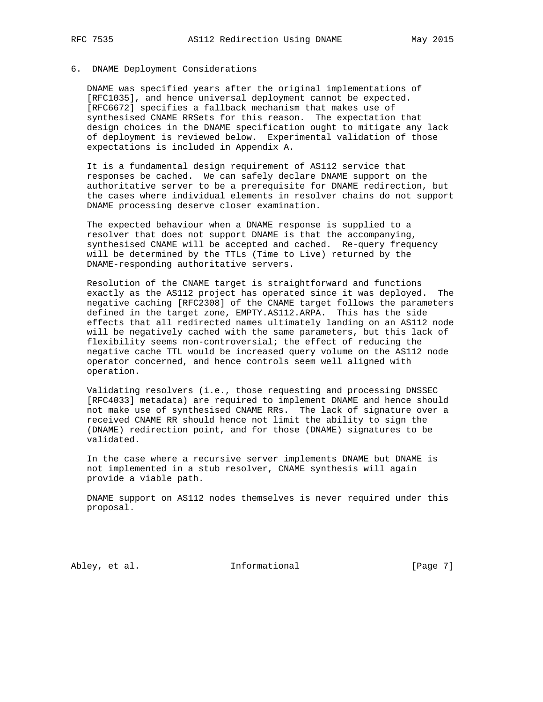### 6. DNAME Deployment Considerations

 DNAME was specified years after the original implementations of [RFC1035], and hence universal deployment cannot be expected. [RFC6672] specifies a fallback mechanism that makes use of synthesised CNAME RRSets for this reason. The expectation that design choices in the DNAME specification ought to mitigate any lack of deployment is reviewed below. Experimental validation of those expectations is included in Appendix A.

 It is a fundamental design requirement of AS112 service that responses be cached. We can safely declare DNAME support on the authoritative server to be a prerequisite for DNAME redirection, but the cases where individual elements in resolver chains do not support DNAME processing deserve closer examination.

 The expected behaviour when a DNAME response is supplied to a resolver that does not support DNAME is that the accompanying, synthesised CNAME will be accepted and cached. Re-query frequency will be determined by the TTLs (Time to Live) returned by the DNAME-responding authoritative servers.

 Resolution of the CNAME target is straightforward and functions exactly as the AS112 project has operated since it was deployed. The negative caching [RFC2308] of the CNAME target follows the parameters defined in the target zone, EMPTY.AS112.ARPA. This has the side effects that all redirected names ultimately landing on an AS112 node will be negatively cached with the same parameters, but this lack of flexibility seems non-controversial; the effect of reducing the negative cache TTL would be increased query volume on the AS112 node operator concerned, and hence controls seem well aligned with operation.

 Validating resolvers (i.e., those requesting and processing DNSSEC [RFC4033] metadata) are required to implement DNAME and hence should not make use of synthesised CNAME RRs. The lack of signature over a received CNAME RR should hence not limit the ability to sign the (DNAME) redirection point, and for those (DNAME) signatures to be validated.

 In the case where a recursive server implements DNAME but DNAME is not implemented in a stub resolver, CNAME synthesis will again provide a viable path.

 DNAME support on AS112 nodes themselves is never required under this proposal.

Abley, et al. 1nformational 1999 [Page 7]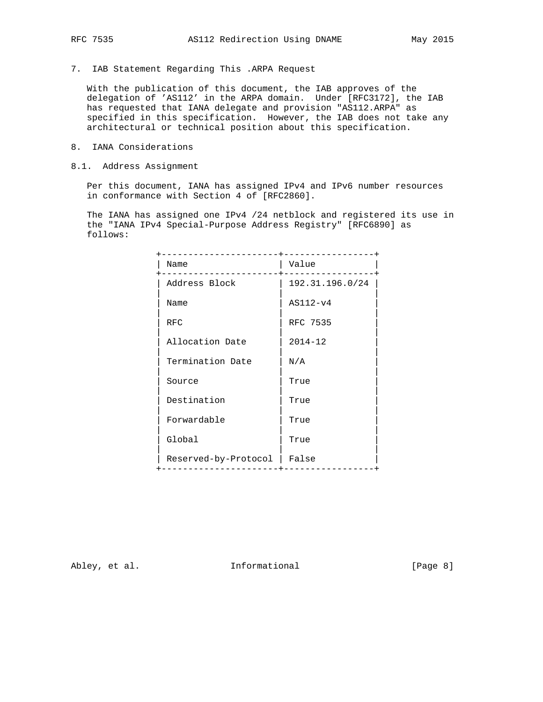7. IAB Statement Regarding This .ARPA Request

 With the publication of this document, the IAB approves of the delegation of 'AS112' in the ARPA domain. Under [RFC3172], the IAB has requested that IANA delegate and provision "AS112.ARPA" as specified in this specification. However, the IAB does not take any architectural or technical position about this specification.

- 8. IANA Considerations
- 8.1. Address Assignment

 Per this document, IANA has assigned IPv4 and IPv6 number resources in conformance with Section 4 of [RFC2860].

 The IANA has assigned one IPv4 /24 netblock and registered its use in the "IANA IPv4 Special-Purpose Address Registry" [RFC6890] as follows:

| ------------------   | --------------+ |
|----------------------|-----------------|
| Name                 | Value           |
| Address Block        | 192.31.196.0/24 |
| Name                 | $ASI12-v4$      |
| <b>RFC</b>           | RFC 7535        |
| Allocation Date      | $2014 - 12$     |
| Termination Date     | N/A             |
| Source               | True            |
| Destination          | True            |
| Forwardable          | True            |
| Global               | True            |
| Reserved-by-Protocol | False           |
|                      |                 |

Abley, et al. 1nformational 1999 [Page 8]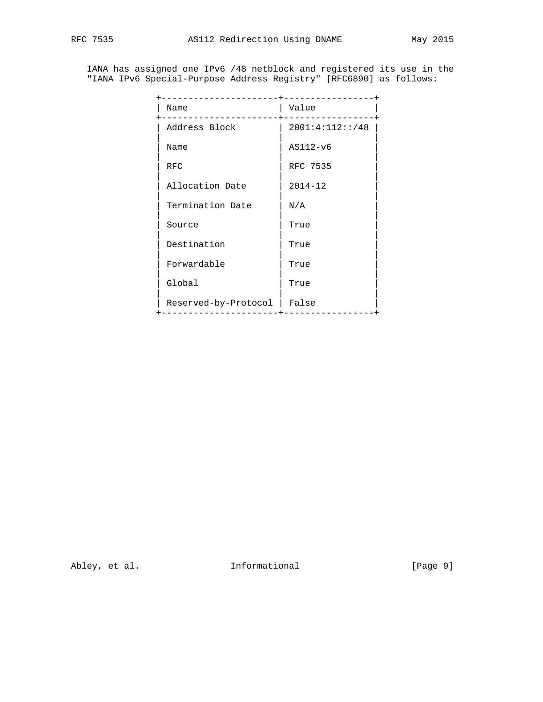IANA has assigned one IPv6 /48 netblock and registered its use in the "IANA IPv6 Special-Purpose Address Registry" [RFC6890] as follows:

| Name                 | Value           |
|----------------------|-----------------|
| Address Block        | 2001:4:112::/48 |
| Name                 | AS112-v6        |
| <b>RFC</b>           | RFC 7535        |
| Allocation Date      | $2014 - 12$     |
| Termination Date     | N/A             |
| Source               | True            |
| Destination          | True            |
| Forwardable          | True            |
| Global               | True            |
| Reserved-by-Protocol | False           |
|                      |                 |

Abley, et al. 1nformational [Page 9]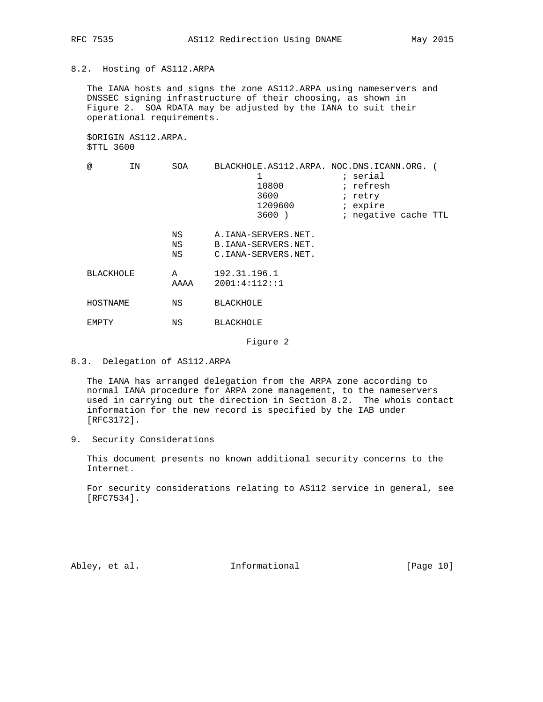### 8.2. Hosting of AS112.ARPA

 The IANA hosts and signs the zone AS112.ARPA using nameservers and DNSSEC signing infrastructure of their choosing, as shown in Figure 2. SOA RDATA may be adjusted by the IANA to suit their operational requirements.

 \$ORIGIN AS112.ARPA. \$TTL 3600

| @                | ΙN | SOA            | BLACKHOLE.AS112.ARPA. NOC.DNS.ICANN.ORG.<br>1<br>10800<br>3600<br>1209600<br>$3600$ ) | ; serial<br>; refresh<br>; retry<br>; expire<br>; negative cache TTL |
|------------------|----|----------------|---------------------------------------------------------------------------------------|----------------------------------------------------------------------|
|                  |    | ΝS<br>ΝS<br>ΝS | A. IANA-SERVERS.NET.<br>B. IANA-SERVERS.NET.<br>C.IANA-SERVERS.NET.                   |                                                                      |
| <b>BLACKHOLE</b> |    | A<br>AAAA      | 192.31.196.1<br>2001:4:112:1                                                          |                                                                      |
| HOSTNAME         |    | ΝS             | <b>BLACKHOLE</b>                                                                      |                                                                      |
| EMPTY            |    | ΝS             | <b>BLACKHOLE</b>                                                                      |                                                                      |

Figure 2

 The IANA has arranged delegation from the ARPA zone according to normal IANA procedure for ARPA zone management, to the nameservers used in carrying out the direction in Section 8.2. The whois contact information for the new record is specified by the IAB under [RFC3172].

9. Security Considerations

 This document presents no known additional security concerns to the Internet.

 For security considerations relating to AS112 service in general, see [RFC7534].

Abley, et al. 1nformational [Page 10]

<sup>8.3.</sup> Delegation of AS112.ARPA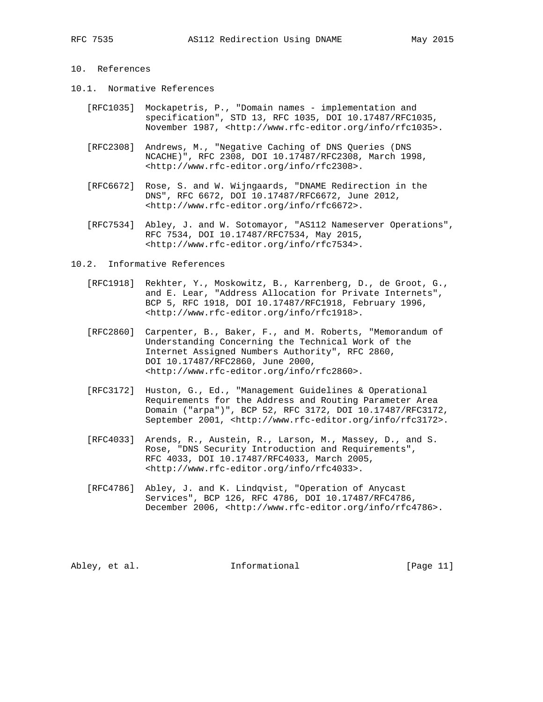## 10. References

- 10.1. Normative References
	- [RFC1035] Mockapetris, P., "Domain names implementation and specification", STD 13, RFC 1035, DOI 10.17487/RFC1035, November 1987, <http://www.rfc-editor.org/info/rfc1035>.
	- [RFC2308] Andrews, M., "Negative Caching of DNS Queries (DNS NCACHE)", RFC 2308, DOI 10.17487/RFC2308, March 1998, <http://www.rfc-editor.org/info/rfc2308>.
	- [RFC6672] Rose, S. and W. Wijngaards, "DNAME Redirection in the DNS", RFC 6672, DOI 10.17487/RFC6672, June 2012, <http://www.rfc-editor.org/info/rfc6672>.
	- [RFC7534] Abley, J. and W. Sotomayor, "AS112 Nameserver Operations", RFC 7534, DOI 10.17487/RFC7534, May 2015, <http://www.rfc-editor.org/info/rfc7534>.
- 10.2. Informative References
	- [RFC1918] Rekhter, Y., Moskowitz, B., Karrenberg, D., de Groot, G., and E. Lear, "Address Allocation for Private Internets", BCP 5, RFC 1918, DOI 10.17487/RFC1918, February 1996, <http://www.rfc-editor.org/info/rfc1918>.
	- [RFC2860] Carpenter, B., Baker, F., and M. Roberts, "Memorandum of Understanding Concerning the Technical Work of the Internet Assigned Numbers Authority", RFC 2860, DOI 10.17487/RFC2860, June 2000, <http://www.rfc-editor.org/info/rfc2860>.
	- [RFC3172] Huston, G., Ed., "Management Guidelines & Operational Requirements for the Address and Routing Parameter Area Domain ("arpa")", BCP 52, RFC 3172, DOI 10.17487/RFC3172, September 2001, <http://www.rfc-editor.org/info/rfc3172>.
	- [RFC4033] Arends, R., Austein, R., Larson, M., Massey, D., and S. Rose, "DNS Security Introduction and Requirements", RFC 4033, DOI 10.17487/RFC4033, March 2005, <http://www.rfc-editor.org/info/rfc4033>.
	- [RFC4786] Abley, J. and K. Lindqvist, "Operation of Anycast Services", BCP 126, RFC 4786, DOI 10.17487/RFC4786, December 2006, <http://www.rfc-editor.org/info/rfc4786>.

Abley, et al. 10. Informational [Page 11]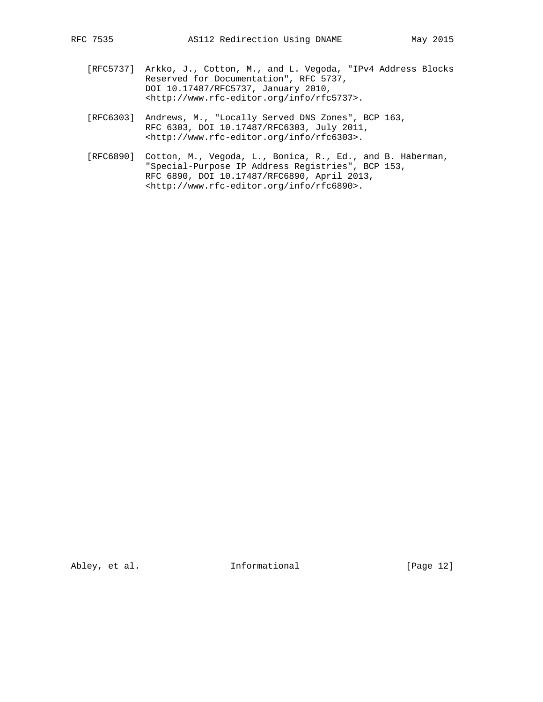- [RFC5737] Arkko, J., Cotton, M., and L. Vegoda, "IPv4 Address Blocks Reserved for Documentation", RFC 5737, DOI 10.17487/RFC5737, January 2010, <http://www.rfc-editor.org/info/rfc5737>.
- [RFC6303] Andrews, M., "Locally Served DNS Zones", BCP 163, RFC 6303, DOI 10.17487/RFC6303, July 2011, <http://www.rfc-editor.org/info/rfc6303>.
- [RFC6890] Cotton, M., Vegoda, L., Bonica, R., Ed., and B. Haberman, "Special-Purpose IP Address Registries", BCP 153, RFC 6890, DOI 10.17487/RFC6890, April 2013, <http://www.rfc-editor.org/info/rfc6890>.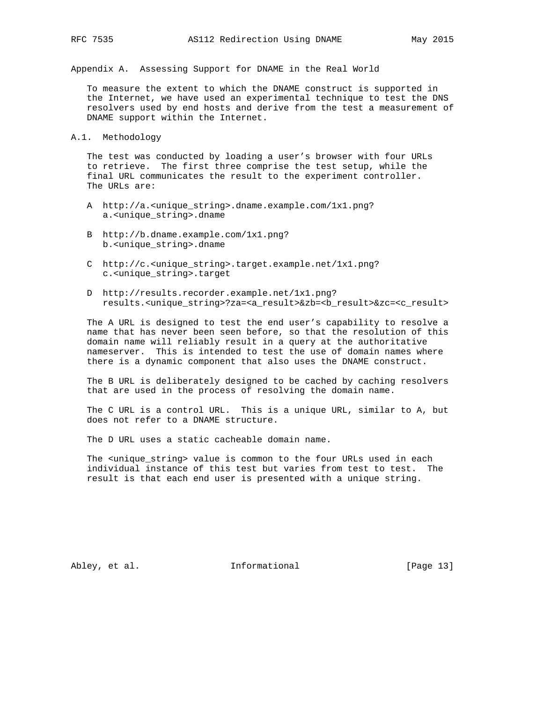Appendix A. Assessing Support for DNAME in the Real World

 To measure the extent to which the DNAME construct is supported in the Internet, we have used an experimental technique to test the DNS resolvers used by end hosts and derive from the test a measurement of DNAME support within the Internet.

A.1. Methodology

 The test was conducted by loading a user's browser with four URLs to retrieve. The first three comprise the test setup, while the final URL communicates the result to the experiment controller. The URLs are:

- A http://a.<unique\_string>.dname.example.com/1x1.png? a.<unique\_string>.dname
- B http://b.dname.example.com/1x1.png? b.<unique\_string>.dname
- C http://c.<unique\_string>.target.example.net/1x1.png? c.<unique\_string>.target
- D http://results.recorder.example.net/1x1.png? results.<unique\_string>?za=<a\_result>&zb=<b\_result>&zc=<c\_result>

 The A URL is designed to test the end user's capability to resolve a name that has never been seen before, so that the resolution of this domain name will reliably result in a query at the authoritative nameserver. This is intended to test the use of domain names where there is a dynamic component that also uses the DNAME construct.

 The B URL is deliberately designed to be cached by caching resolvers that are used in the process of resolving the domain name.

 The C URL is a control URL. This is a unique URL, similar to A, but does not refer to a DNAME structure.

The D URL uses a static cacheable domain name.

 The <unique\_string> value is common to the four URLs used in each individual instance of this test but varies from test to test. The result is that each end user is presented with a unique string.

Abley, et al. 1nformational [Page 13]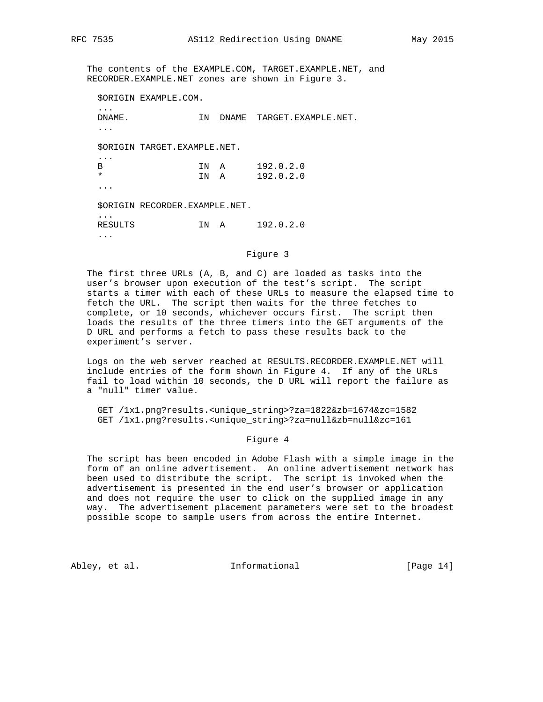The contents of the EXAMPLE.COM, TARGET.EXAMPLE.NET, and RECORDER.EXAMPLE.NET zones are shown in Figure 3.

\$ORIGIN EXAMPLE.COM.

| DNAME.<br>.                            |                               | TN           |   | DNAME TARGET.EXAMPLE.NET. |
|----------------------------------------|-------------------------------|--------------|---|---------------------------|
|                                        | SORIGIN TARGET.EXAMPLE.NET.   |              |   |                           |
| .<br>B<br>$\star$                      |                               | IN A<br>TN A |   | 192.0.2.0<br>192.0.2.0    |
|                                        | SORIGIN RECORDER.EXAMPLE.NET. |              |   |                           |
| $\ddot{\phantom{a}}$<br><b>RESULTS</b> |                               | TN D         | A | 192.0.2.0                 |
| $\cdots$                               |                               |              |   |                           |

Figure 3

 The first three URLs (A, B, and C) are loaded as tasks into the user's browser upon execution of the test's script. The script starts a timer with each of these URLs to measure the elapsed time to fetch the URL. The script then waits for the three fetches to complete, or 10 seconds, whichever occurs first. The script then loads the results of the three timers into the GET arguments of the D URL and performs a fetch to pass these results back to the experiment's server.

 Logs on the web server reached at RESULTS.RECORDER.EXAMPLE.NET will include entries of the form shown in Figure 4. If any of the URLs fail to load within 10 seconds, the D URL will report the failure as a "null" timer value.

 GET /1x1.png?results.<unique\_string>?za=1822&zb=1674&zc=1582 GET /1x1.png?results.<unique\_string>?za=null&zb=null&zc=161

#### Figure 4

 The script has been encoded in Adobe Flash with a simple image in the form of an online advertisement. An online advertisement network has been used to distribute the script. The script is invoked when the advertisement is presented in the end user's browser or application and does not require the user to click on the supplied image in any way. The advertisement placement parameters were set to the broadest possible scope to sample users from across the entire Internet.

Abley, et al. 1nformational [Page 14]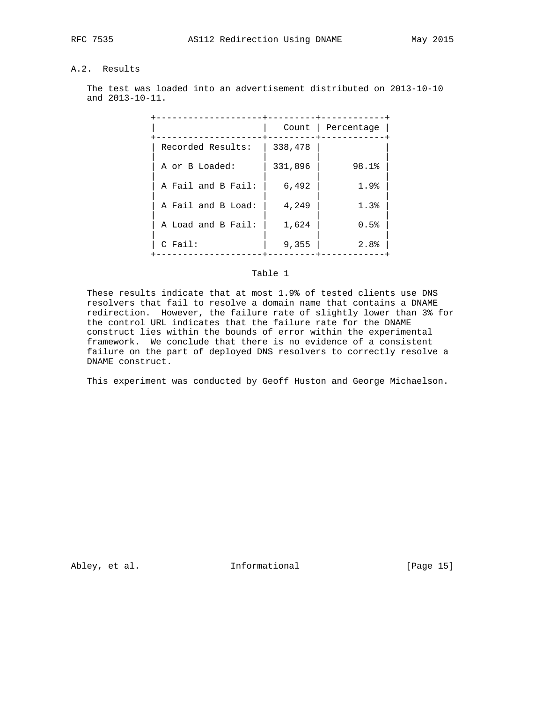## A.2. Results

 The test was loaded into an advertisement distributed on 2013-10-10 and 2013-10-11.

|                    |         | Count   Percentage |
|--------------------|---------|--------------------|
| Recorded Results:  | 338,478 |                    |
| A or B Loaded:     | 331,896 | 98.1%              |
| A Fail and B Fail: | 6,492   | 1.9%               |
| A Fail and B Load: | 4,249   | 1.3%               |
| A Load and B Fail: | 1,624   | 0.5%               |
| $C$ Fail:          | 9,355   | 2.8%               |

## Table 1

 These results indicate that at most 1.9% of tested clients use DNS resolvers that fail to resolve a domain name that contains a DNAME redirection. However, the failure rate of slightly lower than 3% for the control URL indicates that the failure rate for the DNAME construct lies within the bounds of error within the experimental framework. We conclude that there is no evidence of a consistent failure on the part of deployed DNS resolvers to correctly resolve a DNAME construct.

This experiment was conducted by Geoff Huston and George Michaelson.

Abley, et al. 10 Informational [Page 15]